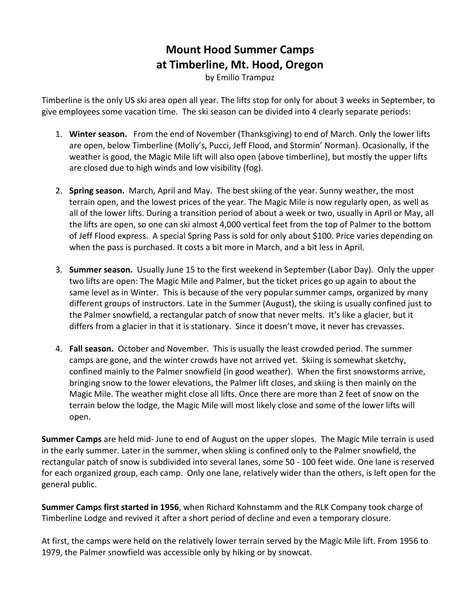## **Mount Hood Summer Camps at Timberline, Mt. Hood, Oregon**

by Emilio Trampuz

Timberline is the only US ski area open all year. The lifts stop for only for about 3 weeks in September, to give employees some vacation time. The ski season can be divided into 4 clearly separate periods:

- 1. **Winter season.** From the end of November (Thanksgiving) to end of March. Only the lower lifts are open, below Timberline (Molly's, Pucci, Jeff Flood, and Stormin' Norman). Ocasionally, if the weather is good, the Magic Mile lift will also open (above timberline), but mostly the upper lifts are closed due to high winds and low visibility (fog).
- 2. **Spring season.** March, April and May. The best skiing of the year. Sunny weather, the most terrain open, and the lowest prices of the year. The Magic Mile is now regularly open, as well as all of the lower lifts. During a transition period of about a week or two, usually in April or May, all the lifts are open, so one can ski almost 4,000 vertical feet from the top of Palmer to the bottom of Jeff Flood express. A special Spring Pass is sold for only about \$100. Price varies depending on when the pass is purchased. It costs a bit more in March, and a bit less in April.
- 3. **Summer season.** Usually June 15 to the first weekend in September (Labor Day). Only the upper two lifts are open: The Magic Mile and Palmer, but the ticket prices go up again to about the same level as in Winter. This is because of the very popular summer camps, organized by many different groups of instructors. Late in the Summer (August), the skiing is usually confined just to the Palmer snowfield, a rectangular patch of snow that never melts. It's like a glacier, but it differs from a glacier in that it is stationary. Since it doesn't move, it never has crevasses.
- 4. **Fall season.** October and November. This is usually the least crowded period. The summer camps are gone, and the winter crowds have not arrived yet. Skiing is somewhat sketchy, confined mainly to the Palmer snowfield (in good weather). When the first snowstorms arrive, bringing snow to the lower elevations, the Palmer lift closes, and skiing is then mainly on the Magic Mile. The weather might close all lifts. Once there are more than 2 feet of snow on the terrain below the lodge, the Magic Mile will most likely close and some of the lower lifts will open.

**Summer Camps** are held mid- June to end of August on the upper slopes. The Magic Mile terrain is used in the early summer. Later in the summer, when skiing is confined only to the Palmer snowfield, the rectangular patch of snow is subdivided into several lanes, some 50 - 100 feet wide. One lane is reserved for each organized group, each camp. Only one lane, relatively wider than the others, is left open for the general public.

**Summer Camps first started in 1956**, when Richard Kohnstamm and the RLK Company took charge of Timberline Lodge and revived it after a short period of decline and even a temporary closure.

At first, the camps were held on the relatively lower terrain served by the Magic Mile lift. From 1956 to 1979, the Palmer snowfield was accessible only by hiking or by snowcat.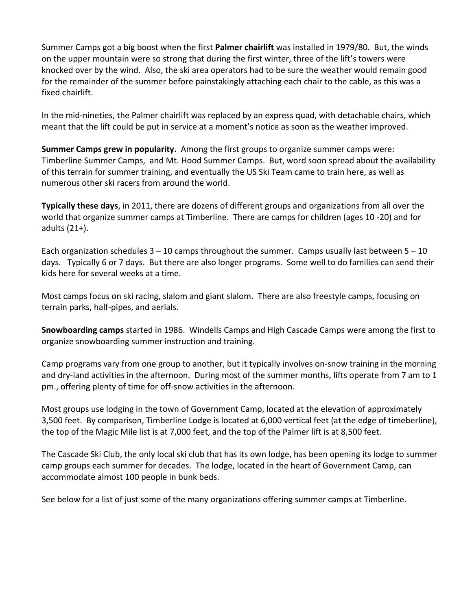Summer Camps got a big boost when the first **Palmer chairlift** was installed in 1979/80. But, the winds on the upper mountain were so strong that during the first winter, three of the lift's towers were knocked over by the wind. Also, the ski area operators had to be sure the weather would remain good for the remainder of the summer before painstakingly attaching each chair to the cable, as this was a fixed chairlift.

In the mid-nineties, the Palmer chairlift was replaced by an express quad, with detachable chairs, which meant that the lift could be put in service at a moment's notice as soon as the weather improved.

**Summer Camps grew in popularity.** Among the first groups to organize summer camps were: Timberline Summer Camps, and Mt. Hood Summer Camps. But, word soon spread about the availability of this terrain for summer training, and eventually the US Ski Team came to train here, as well as numerous other ski racers from around the world.

**Typically these days**, in 2011, there are dozens of different groups and organizations from all over the world that organize summer camps at Timberline. There are camps for children (ages 10 -20) and for adults (21+).

Each organization schedules  $3 - 10$  camps throughout the summer. Camps usually last between  $5 - 10$ days. Typically 6 or 7 days. But there are also longer programs. Some well to do families can send their kids here for several weeks at a time.

Most camps focus on ski racing, slalom and giant slalom. There are also freestyle camps, focusing on terrain parks, half-pipes, and aerials.

**Snowboarding camps** started in 1986. Windells Camps and High Cascade Camps were among the first to organize snowboarding summer instruction and training.

Camp programs vary from one group to another, but it typically involves on-snow training in the morning and dry-land activities in the afternoon. During most of the summer months, lifts operate from 7 am to 1 pm., offering plenty of time for off-snow activities in the afternoon.

Most groups use lodging in the town of Government Camp, located at the elevation of approximately 3,500 feet. By comparison, Timberline Lodge is located at 6,000 vertical feet (at the edge of timeberline), the top of the Magic Mile list is at 7,000 feet, and the top of the Palmer lift is at 8,500 feet.

The Cascade Ski Club, the only local ski club that has its own lodge, has been opening its lodge to summer camp groups each summer for decades. The lodge, located in the heart of Government Camp, can accommodate almost 100 people in bunk beds.

See below for a list of just some of the many organizations offering summer camps at Timberline.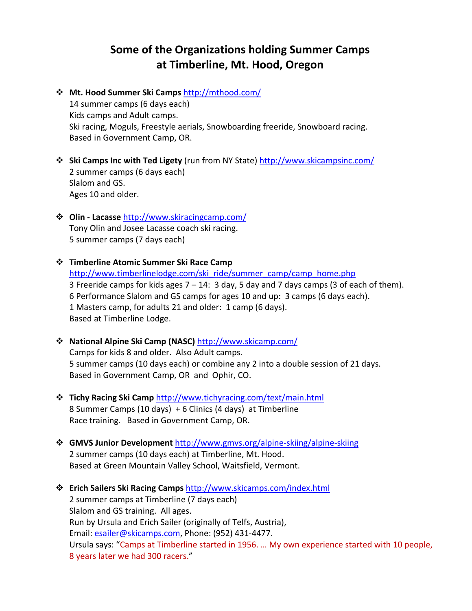## **Some of the Organizations holding Summer Camps at Timberline, Mt. Hood, Oregon**

- **Mt. Hood Summer Ski Camps** <http://mthood.com/> 14 summer camps (6 days each) Kids camps and Adult camps. Ski racing, Moguls, Freestyle aerials, Snowboarding freeride, Snowboard racing. Based in Government Camp, OR.
- **Ski Camps Inc with Ted Ligety** (run from NY State)<http://www.skicampsinc.com/> 2 summer camps (6 days each) Slalom and GS. Ages 10 and older.
- **Olin - Lacasse** <http://www.skiracingcamp.com/> Tony Olin and Josee Lacasse coach ski racing. 5 summer camps (7 days each)
- **Timberline Atomic Summer Ski Race Camp** [http://www.timberlinelodge.com/ski\\_ride/summer\\_camp/camp\\_home.php](http://www.timberlinelodge.com/ski_ride/summer_camp/camp_home.php) 3 Freeride camps for kids ages  $7 - 14$ : 3 day, 5 day and 7 days camps (3 of each of them). 6 Performance Slalom and GS camps for ages 10 and up: 3 camps (6 days each). 1 Masters camp, for adults 21 and older: 1 camp (6 days). Based at Timberline Lodge.
- **National Alpine Ski Camp (NASC)** <http://www.skicamp.com/> Camps for kids 8 and older. Also Adult camps. 5 summer camps (10 days each) or combine any 2 into a double session of 21 days. Based in Government Camp, OR and Ophir, CO.
- **Tichy Racing Ski Camp** <http://www.tichyracing.com/text/main.html> 8 Summer Camps (10 days) + 6 Clinics (4 days) at Timberline Race training. Based in Government Camp, OR.
- **GMVS Junior Development** <http://www.gmvs.org/alpine-skiing/alpine-skiing> 2 summer camps (10 days each) at Timberline, Mt. Hood. Based at Green Mountain Valley School, Waitsfield, Vermont.
- **Erich Sailers Ski Racing Camps** <http://www.skicamps.com/index.html> 2 summer camps at Timberline (7 days each) Slalom and GS training. All ages. Run by Ursula and Erich Sailer (originally of Telfs, Austria), Email: [esailer@skicamps.com,](mailto:esailer@skicamps.com) Phone: (952) 431-4477. Ursula says: "Camps at Timberline started in 1956. … My own experience started with 10 people, 8 years later we had 300 racers."